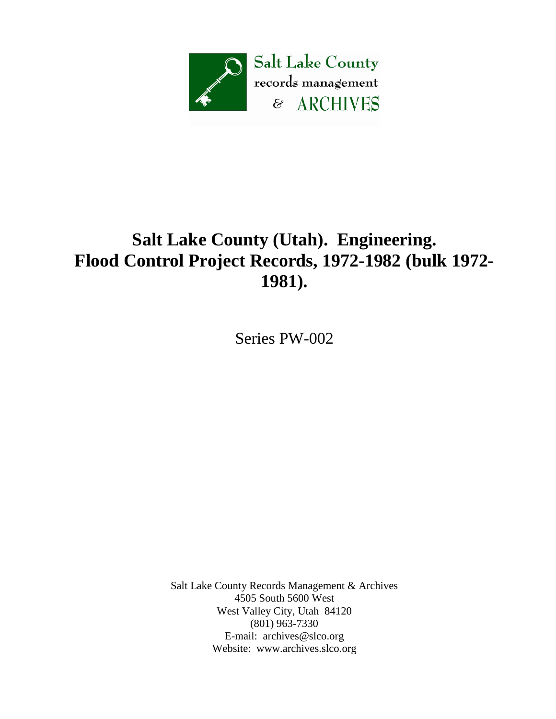

# **Salt Lake County (Utah). Engineering. Flood Control Project Records, 1972-1982 (bulk 1972- 1981).**

Series PW-002

Salt Lake County Records Management & Archives 4505 South 5600 West West Valley City, Utah 84120 (801) 963-7330 E-mail: [archives@slco.org](mailto:archives@slco.org) Website: [www.archives.slco.org](http://www.archives.slco.org/)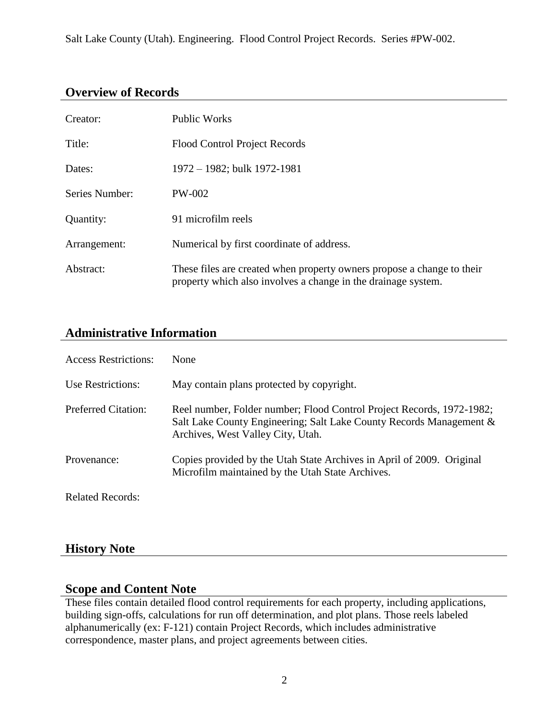Salt Lake County (Utah). Engineering. Flood Control Project Records. Series #PW-002.

### **Overview of Records**

| Creator:       | <b>Public Works</b>                                                                                                                     |
|----------------|-----------------------------------------------------------------------------------------------------------------------------------------|
| Title:         | Flood Control Project Records                                                                                                           |
| Dates:         | 1972 – 1982; bulk 1972-1981                                                                                                             |
| Series Number: | <b>PW-002</b>                                                                                                                           |
| Quantity:      | 91 microfilm reels                                                                                                                      |
| Arrangement:   | Numerical by first coordinate of address.                                                                                               |
| Abstract:      | These files are created when property owners propose a change to their<br>property which also involves a change in the drainage system. |

## **Administrative Information**

| <b>Access Restrictions:</b> | <b>None</b>                                                                                                                                                                       |
|-----------------------------|-----------------------------------------------------------------------------------------------------------------------------------------------------------------------------------|
| Use Restrictions:           | May contain plans protected by copyright.                                                                                                                                         |
| <b>Preferred Citation:</b>  | Reel number, Folder number; Flood Control Project Records, 1972-1982;<br>Salt Lake County Engineering; Salt Lake County Records Management &<br>Archives, West Valley City, Utah. |
| Provenance:                 | Copies provided by the Utah State Archives in April of 2009. Original<br>Microfilm maintained by the Utah State Archives.                                                         |
| <b>Related Records:</b>     |                                                                                                                                                                                   |

#### **History Note**

#### **Scope and Content Note**

These files contain detailed flood control requirements for each property, including applications, building sign-offs, calculations for run off determination, and plot plans. Those reels labeled alphanumerically (ex: F-121) contain Project Records, which includes administrative correspondence, master plans, and project agreements between cities.